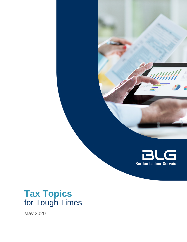

# **Tax Topics** for Tough Times

May 2020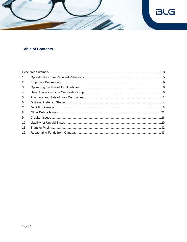

# **Table of Contents**

| 1.  |  |
|-----|--|
| 2.  |  |
| 3.  |  |
| 4.  |  |
| 5.  |  |
| 6.  |  |
| 7.  |  |
| 8.  |  |
| 9.  |  |
| 10. |  |
| 11. |  |
| 12. |  |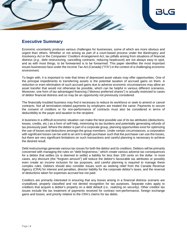

### <span id="page-2-0"></span>**Executive Summary**

Economic uncertainty produces various challenges for businesses, some of which are more obvious and urgent than others. Whether or not arising as part of a court-based process under the *Bankruptcy and Insolvency Act* or the *Companies' Creditors Arrangement Act*, tax pitfalls arising from situations of financial distress (*e.g*., debt restructuring, cancelling contracts, reducing headcount) are not always easy to spot, and as with most things, to be forewarned is to be forearmed. This paper identifies the most important issues businesses face under the *Income Tax Act (Canada)* ("ITA") in the context of a challenging economic environment.

To begin with, it is important to note that times of depressed asset values may offer opportunities. One of the principal impediments to transferring assets is the potential taxation of accrued gains on them. A reduction or even elimination of such accrued gains due to adverse economic circumstances may allow an asset transfer that would not otherwise be possible, which can be helpful in various different scenarios. Moreover, one form of tax-advantaged financing ("distress preferred shares") is actually restricted to cases of debtor financial distress and so may be an opportunity not previously considered.

The financially troubled business may find it necessary to reduce its workforce or seek to amend or cancel contracts. Not all termination-related payments by employers are treated the same. Payments to secure the consent of creditors or for non-performance of contracts must also be considered in terms of deductibility to the payer and taxation to the recipient.

A business in a difficult economic situation can make the best possible use of its tax attributes (deductions, losses, credits, etc.) as a form of self-help, minimizing its tax burdens and potentially generating refunds of tax previously paid. Where the debtor is part of a corporate group, planning opportunities exist for optimizing the use of losses and deductions amongst the group members. Under certain circumstances, a corporation with significant losses can be sold to an arm's-length purchaser such that the purchaser can use the losses, but there are very significant limitations on such transactions and careful planning is necessary to achieve the desired result.

Debt restructurings generate various tax issues for both the debtor and its creditors. Debtors will be primarily concerned with managing the rules on "debt forgiveness," which create various adverse tax consequences for a debtor that settles (or is deemed to settle) a liability for less than 100 cents on the dollar. In most cases, any discount (the "forgiven amount") will reduce the debtor's favourable tax attributes or possibly even create an income inclusion for tax purposes, and careful planning is required to manage these complex rules. Debtors should also consider issues such as seeking relief from the Canada Revenue Agency (CRA) for interest and penalties, director liability for the corporate debtor's taxes, and the reversal of deductions taken for expenses accrued but not paid.

Creditors are primarily interested in ensuring that any losses arising in a financial distress scenario are crystallized, properly classified and not denied recognition for tax purposes. Separate rules apply to creditors that acquire a debtor's property on a debt default (*i.e*., realizing on security). Other creditor tax issues include the tax treatment of payments received for contract non-performance, foreign exchange gains and losses, and priority relative to the CRA's claims for tax debts.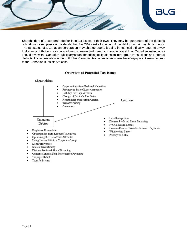

Shareholders of a corporate debtor face tax issues of their own. They may be guarantors of the debtor's obligations or recipients of dividends that the CRA seeks to reclaim if the debtor cannot pay its tax debts. The tax status of a Canadian corporation may change due to it being in financial difficulty, often in a way that affects both it and its shareholders. Non-resident parent corporations and their Canadian subsidiaries should review the Canadian subsidiary's transfer pricing obligations on intra-group transactions and interest deductibility on cross-border debt. Further Canadian tax issues arise where the foreign parent seeks access to the Canadian subsidiary's cash.

### **Overview of Potential Tax Issues**



- Interest Deductibility
- Distress Preferred Share Financing
- Consent/Contract Non-Performance Payments
- Taxpayer Relief
- **Transfer Pricing**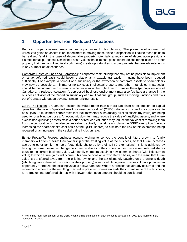

# <span id="page-4-0"></span>**1. Opportunities from Reduced Valuations**

Reduced property values create various opportunities for tax planning. The presence of accrued but unrealized gains on assets is an impediment to moving them, since a disposition will cause those gains to be realized (and in the case of depreciable property potentially a recapture of depreciation previously claimed for tax purposes). Diminished asset values that eliminate gains (or create sheltering losses on other property that can be utilized to absorb gains) create opportunities to move property that are advantageous in any number of tax scenarios.

Corporate Restructurings and Extractions: a corporate restructuring that may not be possible to implement on a tax-deferred basis could become viable as a taxable transaction if gains have been reduced sufficiently. For example, a spinout of a subsidiary or the extraction of corporate assets to shareholders may now be possible at minimal or no tax cost. Intellectual property and other intangibles in particular should be considered with a view to whether now is the right time to transfer them (perhaps outside of Canada) at a reduced valuation. A depressed business environment may also facilitate a change in the business activities of the Canadian subsidiary of a multinational group, such as moving functions and risks out of Canada without an adverse transfer pricing result.

QSBC Purification: a Canadian-resident individual (other than a trust) can claim an exemption on capital gains from the sale of "qualified small business corporation" (QSBC) shares.<sup>1</sup> In order for a corporation to be a QSBC, it must meet certain tests that look to whether substantially all of its assets (by value) are being used for qualifying purposes. An economic downturn may reduce the value of qualifying assets, and where excess non-qualifying assets exist, a period of reduced valuation may reduce the tax cost of removing them from the corporation. It may also be desirable to actually crystallize and claim the QSBC exemption (thereby increasing the shareholder's cost basis of the QSBC shares) to eliminate the risk of this exemption being repealed or an increase in the capital gains inclusion rate.

Estate Freeze/Re-Freeze: business owners wishing to convey the benefit of future growth to family members will often "freeze" their ownership of the existing value of the business, so that future increases accrue to other family members (potentially sheltered by their QSBC exemptions). This is achieved by having the current owner exchange his common shares of the corporation for fixed-value preferred shares equal to the current business value, with family members acquiring new common shares (with little current value) to which future gains will accrue. This can be done on a tax-deferred basis, with the result that future value is transferred away from the existing owner and the tax ultimately payable on the owner's death (which triggers a deemed disposition of their property) is reduced. A negative business climate provides an opportunity to "freeze" the existing value at a lower amount. Where a "freeze" has already occurred and the redemption amount of the resulting fixed value preferred shares exceeds the current value of the business, a "re-freeze" into preferred shares with a lower redemption amount should be considered.

l 1 The lifetime maximum amount of the QSBC capital gains exemption for each person is \$883,384 for 2020 (the lifetime limit is indexed to inflation).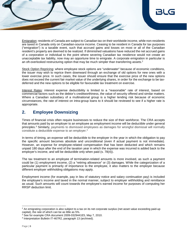Emigration: residents of Canada are subject to Canadian tax on their worldwide income, while non-residents are taxed in Canada only on Canadian-source income. Ceasing to be resident in Canada for tax purposes ("emigration") is a taxable event, such that accrued gains and losses on most or all of the Canadian resident's property are deemed to be realized. If diminished valuations have reduced the net accrued gains of a corporation or individual to the point where severing Canadian tax residence would not create an unacceptable tax liability, now may an opportune time to emigrate. A corporate emigration in particular is an oft-overlooked restructuring option that may be much simpler than transferring assets.<sup>2</sup>

Stock Option Repricing: where employee stock options are "underwater" because of economic conditions, the issuer may wish to reprice them downward through an exchange of old options for new ones with a lower exercise price. In such cases, the issuer should ensure that the exercise price of the new options does not exceed the current fair market value of the underlying shares, in order for the exchange to be taxdeferred and the new options to be eligible for favourable tax treatment on exercise.

Interest Rates: interest expense deductibility is limited to a "reasonable" rate of interest, based on commercial factors such as the debtor's creditworthiness, the value of security offered and similar matters. Where a Canadian subsidiary of a multinational group is a higher lending risk because of economic circumstances, the rate of interest on intra-group loans to it should be reviewed to see if a higher rate is appropriate.

# <span id="page-5-0"></span>**2. Employee Downsizing**

Times of financial crisis often require businesses to reduce the size of their workforce. The CRA accepts that amounts paid by an employer to an employee as employment income will be deductible under general principles.<sup>3</sup> Similarly, payments to dismissed employees as damages for wrongful dismissal will normally constitute a deductible expense to an employer.<sup>4</sup>

In terms of timing, an expense will be deductible to the employer in the year in which the obligation to pay the specific amount becomes absolute and unconditional (even if actual payment is not immediate). However, an expense for employee-related compensation that has been deducted and which remains unpaid 180 days after the end of the taxation year in which the expense was incurred is added back to the employer's income, and will be deductible only when paid (s. 78(4)).

The tax treatment to an employee of termination-related amounts is more involved, as such a payment could be (1) employment income, (2) a "retiring allowance" or (3) damages. While the categorization of a particular payment is primarily of importance to the employee, it also matters to the employer because different employer withholding obligations may apply.

Employment income (for example, pay in lieu of statutory notice and salary continuation pay) is included the employee's income and taxed in the normal manner, subject to employer withholding and remittance as usual. Such amounts will count towards the employee's earned income for purposes of computing her RRSP deduction limit.

<sup>&</sup>lt;sup>2</sup> An emigrating corporation is also subject to a tax on its net corporate surplus (net asset value exceeding paid-up capital), the rate of which can be as little as 5%.

<sup>3</sup> See for example CRA document 2009-0329441E5, May 7, 2010.

<sup>4</sup> Interpretation Bulletin IT-467R2, paragraph 13 (archived).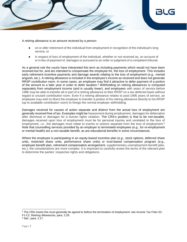

#### A retiring allowance is an amount received by a person:

- on or after retirement of the individual from employment in recognition of the individual's long service; or
- in respect of loss of employment of the individual, whether or not received as, on account of or in lieu of payment of, damages or pursuant to an order or judgment of a competent tribunal.

As a general rule the courts have interpreted this term as including payments which would not have been received but for, and are intended to compensate the employee for, the loss of employment. This includes early retirement incentive payments and damage awards relating to the loss of employment (*e.g*., mental anguish, etc.). A retiring allowance is included in the employee's income as received and does not generate RRSP contribution room. In some cases, an employee may find it attractive to defer payment of a portion of the amount to a later year in order to defer taxation.<sup>5</sup> Withholding on retiring allowances is computed separately from employment income (and is usually lower), and employees with years of service before 1996 may be able to transfer all or part of a retiring allowance to their RRSP on a tax-deferred basis without regard to unused contribution room. Even if a retiring allowance relates to post-1995 years of service, an employee may wish to direct the employer to transfer a portion of his retiring allowance directly to his RRSP (up to available contribution room) to forego the normal employer withholding.

Damages received for causes of action separate and distinct from the actual loss of employment are generally received free of tax. Examples might be harassment during employment, damages for defamation after dismissal or damages for a human rights violation. The CRA's position is that to be non-taxable, damages received upon loss of employment must be for personal injuries and unrelated to the loss of employment, *i.e.*, the damages must relate to events or actions separate from the loss of employment.<sup>6</sup> Note that counselling services provided by an employer to terminated employees (*e.g*., for re-employment or mental health) are a non-taxable benefit, as are educational benefits in some circumstances.

Where the employee is participating in an equity-based incentive plan (*e.g*., stock options, deferred share units, restricted share units, performance share units) or trust-based compensation program (*e.g*., employee benefit plan, retirement compensation arrangement, supplementary unemployment benefit plan, etc.), the considerations are more complex. It is important to carefully review the terms of the relevant plan to determine the parties' respective rights and obligations.

F1-C2, Retiring Allowances, para. 2.26.

<sup>&</sup>lt;sup>5</sup> The CRA insists this must generally be agreed to before the termination of employment: see Income Tax Folio S2-

<sup>6</sup> *Ibid.*, para. 2.17.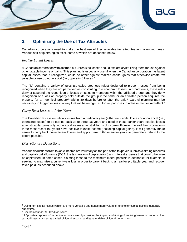

# <span id="page-7-0"></span>**3. Optimizing the Use of Tax Attributes**

Canadian corporations need to make the best use of their available tax attributes in challenging times. Various self-help strategies exist, some of which are described below.

### *Realize Latent Losses*

A Canadian corporation with accrued but unrealized losses should explore crystallizing them for use against other taxable income or gains. This planning is especially useful when the Canadian corporation has latent capital losses that, if recognized, could be offset against realized capital gains that otherwise create tax payable or use up non-capital (*i.e*., operating) losses.<sup>7</sup>

The ITA contains a variety of rules (so-called stop-loss rules) designed to prevent losses from being recognized when they are not perceived as constituting true economic losses. In broad terms, these rules deny or suspend the recognition of losses on sales to members within the affiliated group, and they deny recognition of a loss on property sold outside the group if the seller or an affiliated person acquires the property (or an identical property) within 30 days before or after the sale.<sup>8</sup> Careful planning may be necessary to trigger losses in a way that will be recognized for tax purposes to achieve the desired effect.<sup>9</sup>

### *Carry Back Losses to Prior Years*

The Canadian tax system allows losses from a particular year (either net capital losses or non-capital (*i.e*., operating) losses) to be carried back up to three tax years and used in those earlier years (capital losses against capital gains only; non-capital losses against all forms of income). If one or more of the corporation's three most recent tax years have positive taxable income (including capital gains), it will generally make sense to carry back current-year losses and apply them to those earlier years to generate a refund to the extent possible.

### *Discretionary Deductions*

Various deductions from taxable income are voluntary on the part of the taxpayer, such as claiming reserves and capital cost allowance (CCA, the tax version of depreciation) and interest expense that could otherwise be capitalized. In some cases, claiming these to the maximum extent possible is desirable: for example, if seeking to maximize a current-year loss in order to carry it back to an earlier profitable year and recover taxes paid, as described above.

<sup>7</sup> Using non-capital losses (which are more versatile and hence more valuable) to shelter capital gains is generally suboptimal.

<sup>8</sup> See below under 9., Creditor Issues.

<sup>&</sup>lt;sup>9</sup> A "private corporation" in particular must carefully consider the impact and timing of realizing losses on various other tax attributes, such as its capital dividend account and its refundable dividend tax on hand.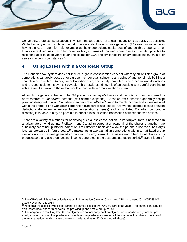

Conversely, there can be situations in which it makes sense not to claim deductions as quickly as possible. While the carryforward limitation period for non-capital losses is quite generous (20 years), in some cases having the loss in latent form (for example, as the undepreciated capital cost of depreciable property) rather than as a realized loss may offer more flexibility in terms of how and when to use it. It is also possible to refile for earlier taxation years to amend claims for CCA and similar discretionary deductions taken in prior years in certain circumstances.<sup>10</sup>

# <span id="page-8-0"></span>**4. Using Losses within a Corporate Group**

The Canadian tax system does not include a group consolidation concept whereby an affiliated group of corporations can apply losses of one group member against income and gains of another simply by filing a consolidated tax return. Rather, under Canadian rules, each entity computes its own income and deductions and is responsible for its own tax payable. This notwithstanding, it is often possible with careful planning to achieve results similar to those that would occur under a group taxation system.

Although the general scheme of the ITA prevents a taxpayer's losses and deductions from being used by or transferred to *unaffiliated* persons (with some exceptions), Canadian tax authorities generally accept planning designed to allow Canadian members of an *affiliated* group to match income and losses realized within the group. If one Canadian corporation (Shelterco) has loss carryforwards, accrued losses or latent deductions (for example, excess future depreciation expense) and an affiliated Canadian corporation (Profitco) is taxable, it may be possible to effect a loss utilization transaction between the two entities.

There are a variety of methods for achieving such a loss consolidation. In its simplest form, Shelterco can amalgamate or wind up into Profitco. If one Canadian corporation owns all of the shares of another, the subsidiary can wind up into the parent on a tax-deferred basis and allow the parent to use the subsidiary's loss carryforwards in future years.<sup>11</sup> Amalgamating two Canadian corporations within an affiliated group similarly allows the amalgamated corporation to carry forward the losses and other tax attributes of its predecessors and use them against income generated in the post-amalgamation period.<sup>12</sup> (See Figure 1.)

<sup>&</sup>lt;sup>10</sup> The CRA's administrative policy is set out in Information Circular IC 84-1 and CRA document 2014-0550381C6, dated November 18, 2014.

<sup>11</sup> Note that the subsidiary's losses cannot be carried back to *pre-wind-up* parent tax years. The parent can carry its own losses back and forth between the pre-windup and post-wind-up period.

<sup>&</sup>lt;sup>12</sup> The corporation resulting from the amalgamation cannot carry post-amalgamation losses back against the preamalgamation income of its predecessors, unless one predecessor owned all the shares of the other at the time of the amalgamation (in which case the rule is similar to that for 90%+ owned wind-ups).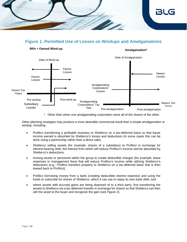

# **Figure 1. Permitted Use of Losses on Windups and Amalgamations**



### \* Other than when one amalgamating corporation owns all of the shares of the other.

Other planning strategies may produce a more desirable commercial result than a simple amalgamation or windup, including:

- Profitco transferring a profitable business to Shelterco on a tax-deferred basis so that future income earned is absorbed by Shelterco's losses and deductions (in some cases this can be done using a partnership rather than a direct sale);
- Shelterco selling assets (for example, shares of a subsidiary) to Profitco in exchange for interest-bearing debt, the interest from which will reduce Profitco's income and be absorbed by Shelterco's deductions;
- moving assets or personnel within the group to create deductible charges (for example, lease expenses or management fees) that will reduce Profitco's income while utilizing Shelterco's deductions (*e.g*., Profitco transfers property to Shelterco on a tax-deferred basis that is then leased back to Profitco);
- Profitco borrowing money from a bank (creating deductible interest expense) and using the funds to subscribe for shares of Shelterco, which it can use to repay its own bank debt; and
- where assets with accrued gains are being disposed of to a third party, first transferring the assets to Shelterco via a tax-deferred transfer in exchange for shares so that Shelterco can then sell the asset to the buyer and recognize the gain (see Figure 2).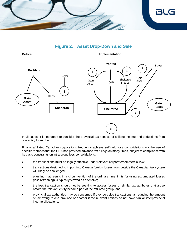

# **Figure 2. Asset Drop-Down and Sale**



In all cases, it is important to consider the provincial tax aspects of shifting income and deductions from one entity to another.

Finally, affiliated Canadian corporations frequently achieve self-help loss consolidations via the use of specific methods that the CRA has provided advance tax rulings on many times, subject to compliance with its basic constraints on intra-group loss consolidations:

- the transactions must be legally effective under relevant corporate/commercial law;
- transactions designed to import into Canada foreign losses from outside the Canadian tax system will likely be challenged;
- planning that results in a circumvention of the ordinary time limits for using accumulated losses (loss refreshing) is typically viewed as offensive;
- the loss transaction should not be seeking to access losses or similar tax attributes that arose before the relevant entity became part of the affiliated group; and
- provincial tax authorities may be concerned if they perceive transactions as reducing the amount of tax owing to one province or another if the relevant entities do not have similar interprovincial income allocations.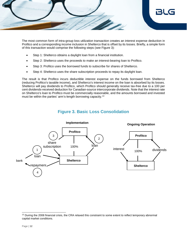

The most common form of intra-group loss utilization transaction creates an interest expense deduction in Profitco and a corresponding income inclusion in Shelterco that is offset by its losses. Briefly, a simple form of this transaction would comprise the following steps (see Figure 3):

- Step 1: Shelterco obtains a daylight loan from a financial institution.
- Step 2: Shelterco uses the proceeds to make an interest-bearing loan to Profitco.
- Step 3: Profitco uses the borrowed funds to subscribe for shares of Shelterco.
- Step 4: Shelterco uses the share subscription proceeds to repay its daylight loan.

The result is that Profitco incurs deductible interest expense on the funds borrowed from Shelterco (reducing Profitco's taxable income), and Shelterco's interest income on the loan is absorbed by its losses. Shelterco will pay dividends to Profitco, which Profitco should generally receive tax-free due to a 100 per cent dividends-received deduction for Canadian-source intercorporate dividends. Note that the interest rate on Shelterco's loan to Profitco must be commercially reasonable, and the amounts borrowed and invested must be within the parties' arm's-length borrowing capacity.<sup>13</sup>

### **Figure 3. Basic Loss Consolidation**



<sup>&</sup>lt;sup>13</sup> During the 2008 financial crisis, the CRA relaxed this constraint to some extent to reflect temporary abnormal capital market conditions.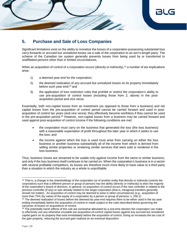

# <span id="page-12-0"></span>**5. Purchase and Sale of Loss Companies**

Significant limitations exist on the ability to monetize the losses of a corporation possessing substantial loss carry-forwards or accrued but unrealized losses via a sale of the corporation to an arm's-length party. The scheme of the Canadian tax system generally prevents losses from being used by or transferred to unaffiliated persons other than in limited circumstances.

When an acquisition of control of a corporation occurs (directly or indirectly),<sup>14</sup> a number of tax implications arise:

- 1) a deemed year-end for the corporation;
- 2) the deemed realization of any accrued but unrealized losses on its property immediately before such year-end;<sup>15</sup> and
- 3) the application of loss restriction rules that prohibit or restrict the corporation's ability to use pre-acquisition of control losses (including those from 2, above) in the postacquisition period and *vice versa*.

Essentially, both non-capital losses from an investment (as opposed to those from a business) and net capital losses from the pre-acquisition of control period cannot be carried forward and used in postacquisition of control tax years (and *vice versa*); they effectively become worthless if they cannot be used in the pre-acquisition period.<sup>16</sup> However, non-capital losses from a business may be carried forward and used against post-acquisition of control income if the following conditions are met:

- the corporation must carry on the business that generated the loss (the loss business) with a reasonable expectation of profit throughout the later year in which it seeks to use the loss; and
- the income against which the loss is used must arise from carrying on either the loss business or another business substantially all of the income from which is derived from selling similar properties or rendering similar services that were sold or rendered in the loss business.

Thus, business losses are streamed to be usable only against income from the same or similar business, and only if the loss business itself continues to be carried on. When the corporation's business is in a sector with several profitable competitors, its losses are therefore much more likely to have value to a third party than a situation in which the industry as a whole is unprofitable.

<sup>&</sup>lt;sup>14</sup> That is, a change in the shareholdings of the corporation (or of another entity that directly or indirectly controls the corporation) such that a different person or group of persons has the ability (directly or indirectly) to elect the majority of the corporation's board of directors. In general, no acquisition of control occurs if the new controller is related to the previous controller (if any) or was already related to the target corporation (that is, intragroup transfers generally should not matter). An acquisition of control may be deemed to arise in other circumstances (*e.g*., acquisition of more than 75% (by value) of the equity of a corporation by a person or group of persons: s. 256.1).

<sup>&</sup>lt;sup>15</sup> The deemed realization of losses before the deemed tax year-end requires them to be either used in the tax year ending immediately before the acquisition of control or made subject to the rules described below governing the carryover of losses on acquisitions of control.

 $16$  The potentially harsh effects of this rule are somewhat alleviated by a one-time election the corporation can make to effectively use any otherwise unusable pre-acquisition-of-control capital losses against any accrued but unrealized capital gains on its property that exist immediately before the acquisition of control. Doing so increases the tax cost of the gain property, reducing the accrued gain realized on an eventual disposition.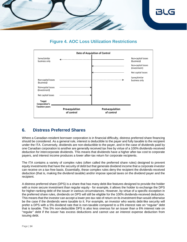

# **Figure 4. AOC Loss Utilization Restrictions**



# <span id="page-13-0"></span>**6. Distress Preferred Shares**

Where a Canadian-resident borrower corporation is in financial difficulty, distress preferred share financing should be considered. As a general rule, interest is deductible to the payer and fully taxable to the recipient under the ITA. Conversely, dividends are non-deductible to the payer, and in the case of dividends paid by one Canadian corporation to another are generally received tax free by virtue of a 100% dividends-received deduction for intercorporate dividends. This means that dividends have a higher after-tax cost to corporate payers, and interest income produces a lower after-tax return for corporate recipients.

The ITA contains a variety of complex rules (often called the preferred share rules) designed to prevent equity investments that have the security of debt but that generate dividend income that a corporate investor can receive on a tax-free basis. Essentially, these complex rules deny the recipient the dividends-received deduction (that is, making the dividend taxable) and/or impose special taxes on the dividend payer and the recipient.

A distress preferred share (DPS) is a share that has many debt-like features designed to provide the holder with a more secure investment than regular equity - for example, it allows the holder to exchange the DPS for higher-ranking debt of the issuer in various circumstances. However, by virtue of a specific exception in the preferred share rules, dividends on DPS will still be eligible for the 100% dividends-received deduction. This means that the investor can accept a lower pre-tax rate of return on its investment than would otherwise be the case if the dividends were taxable to it. For example, an investor who wants debt-like security will prefer a DPS with a 5% dividend rate that is non-taxable compared to a 6% interest rate on "regular" debt that is taxable. This 5% non-deductible DPS is also less onerous for an issuer than a 6% interest rate on "regular'' debt if the issuer has excess deductions and cannot use an interest expense deduction from issuing debt.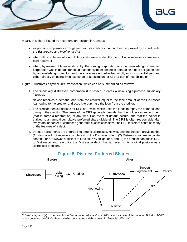

A DPS is a share issued by a corporation resident in Canada:

- as part of a proposal or arrangement with its creditors that had been approved by a court under the *Bankruptcy and Insolvency Act*;
- when all or substantially all of its assets were under the control of a receiver or trustee in bankruptcy; or
- when, by reason of financial difficulty, the issuing corporation or a non-arm's-length Canadian corporation was in default (or could reasonably be expected to default) on a debt obligation held by an arm's-length creditor, and the share was issued either wholly or in substantial part and either directly or indirectly in exchange or substitution for all or a part of that obligation.<sup>17</sup>

Figure 5 illustrates a typical DPS transaction, which can be summarized as follows:

- 1. The financially distressed corporation (Distressco) creates a new single-purpose subsidiary (Newco).
- 2. Newco receives a demand loan from the creditor equal to the face amount of the Distressco loan owing to the creditor and uses it to purchase the loan from the creditor.
- 3. The creditor then subscribes for DPS of Newco, which uses the funds to repay the demand loan owing to the creditor. The terms of the DPS generally provide that the holder can retract them (that is, force a redemption) at any time if an event of default occurs, and that the holder is entitled to an annual cumulative preferred share dividend. The DPS is often redeemable after five years, or earlier if Distressco generates excess cash flow. The DPS therefore contains many of the features of a debt.
- 4. Various agreements are entered into among Distressco, Newco, and the creditor, providing that (1) Newco will not receive any interest on the Distressco debt, (2) Distressco will make capital contributions to Newco sufficient to fund its DPS obligations, and (3) the creditor can put its DPS to Distressco and reacquire the Distressco debt (that is, revert to its original position as a Distressco creditor).



# **Figure 5. Distress Preferred Shares**

<sup>17</sup> See paragraph (e) of the definition of "term preferred share" in s. 248(1) and archived Interpretation Bulletin IT-527, which contains the CRA's views on what constitutes a debtor being in "financial difficulty".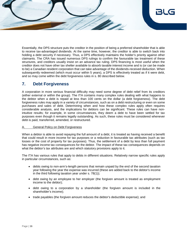

Essentially, the DPS structure puts the creditor in the position of being a preferred shareholder that is able to receive tax-advantaged dividends. At the same time, however, the creditor is able to switch back into holding a debt security if necessary. Thus, a DPS effectively maintains the holder's priority against other claimants. The CRA has issued numerous DPS rulings to confirm the favourable tax treatment of these structures, and creditors usually insist on an advance tax ruling. DPS financing is most useful when the creditor does not have other tax shelter available to absorb taxable interest income and is (or can be made to be) a Canadian resident corporation that can take advantage of the dividends-received deduction. When subsequently redeemed (which must occur within 5 years), a DPS is effectively treated as if it were debt, and so may come within the debt forgiveness rules in s. 80 described below.

### <span id="page-15-0"></span>**7. Debt Forgiveness**

A corporation in more serious financial difficulty may need some degree of debt relief from its creditors (either external or within the group). The ITA contains many complex rules dealing with what happens to the debtor when a debt is repaid at less than 100 cents on the dollar (a debt forgiveness). The debt forgiveness rules may apply in a variety of circumstances, such as on a debt restructuring or even on some purchases and sales of debt. Determining when and how these complex rules apply often requires considerable analysis, and the implications for debtors can be significant. These rules can have nonintuitive results; for example, in some circumstances, they deem a debt to have been settled for tax purposes even though it remains legally outstanding. As such, these rules must be considered whenever debt is paid, transferred, amended, or restructured.

### **General Policy on Debt Forgiveness**

When a debtor is able to avoid repaying the full amount of a debt, it is treated as having received a benefit that could result in more income for tax purposes or a reduction in favourable tax attributes (such as tax losses or the cost of property for tax purposes). Thus, the settlement of a debt by less than full payment has negative income tax consequences for the debtor. The impact of these tax consequences depends on what the debtor's tax attributes are and which statutory provisions apply to it.

The ITA has various rules that apply to debts in different situations. Relatively narrow specific rules apply in particular circumstances, such as:

- debts owing to non-arm's-length persons that remain unpaid by the end of the second taxation year following the year the expense was incurred (these are added back to the debtor's income in the third following taxation year under s. 78(1));
- debt owing by an employee to her employer (the forgiven amount is treated as employment income to the debtor);
- debt owing to a corporation by a shareholder (the forgiven amount is included in the shareholder's income);
- trade payables (the forgiven amount reduces the debtor's deductible expense); and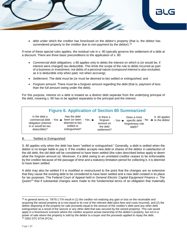

 debt under which the creditor has foreclosed on the debtor's property (that is, the debtor has surrendered property to the creditor due to non-payment by the debtor).<sup>18</sup>

If none of these special rules applies, the residual rule in s. 80 typically governs the settlement of a debt at a discount. There are three basic preconditions to the application of s. 80:

- *Commercial debt obligations*. s 80 applies only to debts the interest on which is (or would be, if interest were charged) tax-deductible. This limits the scope of the rule to debts incurred as part of a business or investment, not debts of a personal nature (compound interest is also excluded, as it is deductible only when paid, not when accruing);
- *Settlement*. The debt must be (or must be deemed to be) settled or extinguished; and
- *Forgiven amount*. There must be a forgiven amount regarding the debt (that is, payment of less than the full amount owing under the debt).

For this purpose, interest on a debt is treated as a distinct debt separate from the underlying principal of the debt, meaning s. 80 has to be applied separately to the principal and the interest.

| <b>Figure 6. Application of Section 80 Summarized</b>                                                                                                 |                                                              |                                                                |                                                                                                                   |               |  |  |
|-------------------------------------------------------------------------------------------------------------------------------------------------------|--------------------------------------------------------------|----------------------------------------------------------------|-------------------------------------------------------------------------------------------------------------------|---------------|--|--|
| Is the debt a<br>commercial debt - Yes $\rightarrow$ been (or been - Yes $\rightarrow$<br>obligation (interest<br>is or would be tax-<br>deductible)? | Has the debt<br>deemed to be)<br>settled or<br>extinguished? | Is there a<br>forgiven<br>amount on<br>the debt<br>settlement? | Does a more<br>- Yes $\rightarrow$ specific debt $-$ No $\rightarrow$ to the debtor<br>forgiveness rule<br>apply? | S. 80 applies |  |  |
|                                                                                                                                                       |                                                              |                                                                |                                                                                                                   |               |  |  |

### B. 'Settled or Extinguished'

S. 80 applies only when the debt has been "settled or extinguished." Generally, a debt is settled when the debtor is no longer liable to pay it. If the creditor accepts new debt or shares of the debtor in satisfaction of the old debt, the old debt will be considered to have been settled (the rules described below apply to deem what the forgiven amount is). Moreover, if a debt owing to an unrelated creditor ceases to be enforceable by the creditor because of the passage of time and a statutory limitation period for collecting it, it is deemed to have been settled.

A debt may also be settled if it is modified or restructured to the point that the changes are so extensive that they cause the existing debt to be considered to have been settled and a new debt created in its place for tax purposes. The Federal Court of Appeal held in *General Electric Capital Equipment Finance v. The Queen<sup>19</sup>* that if substantial changes were made to the fundamental terms of an obligation that materially

<sup>&</sup>lt;sup>18</sup> In general terms ss. 79/79.1 ITA result in (1) the creditor not realizing any gain or loss on the receivable and acquiring the seized property at a cost equal to its cost of the relevant debt (plus fees and costs incurred), and (2) the debtor disposing of the property for sale proceeds equal to the amount of the creditor's debt (and any other debt extinguished as a result of the seizure or any other debt that was secured by the seized property). This rule would apply in a foreclosure scenario where the creditor acquires actual ownership of the debtor's property, but not in a power of sale where the property is sold by the debtor to a buyer and the proceeds applied to repay the debt. <sup>19</sup> 2002 DTC 6734 (FCA).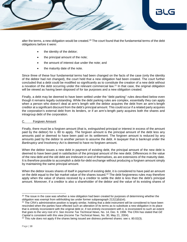

alter the terms, a new obligation would be created.<sup>20</sup> The court found that the fundamental terms of the debt obligations before it were:

- the identity of the debtor;
- the principal amount of the note;
- the amount of interest due under the note; and
- the maturity date of the note.

Since three of these four fundamental terms had been changed on the facts of the case (only the identity of the debtor had not changed), the court held that a new obligation had been created. The court further concluded that a debt could be modified so significantly as to constitute the creation of a new debt without a novation of the debt occurring under the relevant commercial law.<sup>21</sup> In that case, the original obligation will be viewed as having been disposed of for tax purposes and a new obligation created.

Finally, a debt may be deemed to have been settled under the "debt parking'' rules described below even though it remains legally outstanding. While the debt parking rules are complex, essentially they can apply when a person who doesn't deal at arm's length with the debtor acquires the debt from an arm's-length creditor at a significant discount from the debt's principal amount. This could occur if a related party acquires the corporation's external debt from its lenders, or if an arm's-length party acquires both the shares and intragroup debt of the corporation.

### C. Forgiven Amount

Finally, there must be a forgiven amount (that is, extinguished principal or interest in excess of the amount paid by the debtor) for s. 80 to apply. The forgiven amount is the principal amount of the debt less any amounts paid or deemed to have been paid on its settlement. The forgiven amount is reduced by any amounts paid by the debtor to another person to assume the debt. A taxpayer that is bankrupt under the *Bankruptcy and Insolvency Act* is deemed to have no forgiven amount.

When the debtor issues a new debt in payment of existing debt, the principal amount of the new debt is deemed to have been paid in satisfaction of the principal amount of the new debt. Differences in the value of the new debt and the old debt are irrelevant in and of themselves, as are extensions of the maturity date. It is therefore possible to accomplish a debt-for-debt exchange without producing a forgiven amount simply by maintaining the same principal amount.

When the debtor issues shares of itself in payment of existing debt, it is considered to have paid an amount on the debt equal to the fair market value of the shares issued.<sup>22</sup> The debt forgiveness rules may therefore apply when the value of shares received by a creditor to settle the debt is less than the debt's principal amount. Moreover, if a creditor is also a shareholder of the debtor and the value of its existing shares of

 $20$  The issue in the case was whether a new obligation had been created for purposes of determining whether the obligation was exempt from withholding tax under former subparagraph 212(1)(b)(vii).

 $21$  The CRA's administrative position is largely similar, holding that a debt instrument will be considered to have been rescinded when the parties have effected such an alteration of its terms as to substitute a new obligation in its place that is entirely inconsistent with the original debt or, if not entirely inconsistent with it, is inconsistent to such an extent that goes to the very root of it. *See Income Tax Technical News*, No. 14, Dec. 9, 1998. The CRA has stated that *GE Capital* is consistent with this view (*Income Tax Technical News*, No. 30, May 21, 2004).

 $22$  This rule does not apply if the shares being issued are distress preferred shares: see s. 80.02(3).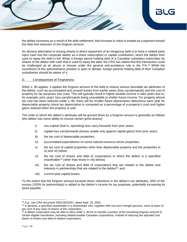

the debtor increases as a result of the debt settlement, that increase in value is treated as a payment toward the debt and reduction of the forgiven amount.

An obvious alternative to issuing shares in direct repayment of an intragroup debt is to have a related party inject cash into the corporate debtor as a share subscription or capital contribution, which the debtor then uses to repay the debt in full. When a foreign parent holding debt of a Canadian subsidiary subscribes for shares of the debtor with cash that is used to repay the debt, the CRA has stated that this transaction could be challenged as an abuse or misuse under the general anti-avoidance rule in the ITA.<sup>23</sup> While the soundness of this administrative position is open to debate, foreign parents holding debt of their Canadian subsidiaries should be aware of it.

### D. Consequences of Forgiveness

When s. 80 applies, it applies the forgiven amount of the debt to reduce various favorable tax attributes of the debtor, such as accumulated and unused losses from earlier years (loss carryforwards) and the cost of property for tax purposes (tax cost). This will typically result in higher taxable income in later years due to, for example, prior years' loss carryforwards being unavailable to shelter future income. For property whose tax cost has been reduced under s. 80, there will be smaller future depreciation deductions each year for depreciable property (since tax depreciation is computed as a percentage of a property's cost) and higher gains realized when the property is sold.

The order in which the debtor's attributes will be ground down by a forgiven amount is generally as follows (the debtor has some ability to choose certain grind-downs):

- i) non-capital (that is, operating) loss carry-forwards from prior years;
- ii) capital loss carryforwards (losses usable only against capital gains) from prior years;
- iii) the tax cost of depreciable properties;
- iv) accumulated expenditures on some natural-resource-sector properties;
- v) the tax cost of capital properties other than depreciable property and the properties in vi) and vii) below;
- vi) the tax cost of shares and debt of corporations in which the debtor is a specified shareholder<sup>24</sup> (other than those in viii) below);
- vii) the tax cost of shares and debt of corporations that are related to the debtor and interests in partnerships that are related to the debtor<sup>25</sup>; and
- viii) current-year capital losses.

To the extent that the forgiven amount exceeds these reductions in the debtor's tax attributes, 50% of the excess (100% for partnerships) is added to the debtor's income for tax purposes, potentially increasing its taxes payable.

<sup>23</sup> *E.g.*, see CRA document 2003-0022357, dated Sept. 25, 2003.

<sup>&</sup>lt;sup>24</sup> In general, a specified shareholder is a shareholder who, together with non-arm's-length persons, owns at least 10 per cent of any class of shares of the corporation.

 $25$  A debtor corporation may be able to elect under s. 80.04 to transfer a portion of the remaining forgiven amount to certain eligible transferees, including related taxable Canadian corporations, instead of reducing the adjusted cost bases of shares and debt of related corporations.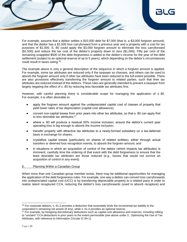

For example, assume that a debtor settles a \$10,000 debt for \$7,000 (that is, a \$3,000 forgiven amount), and that the debtor has a \$1,500 loss carryforward from a previous year and a property with a cost for tax purposes of \$1,000. S. 80 could apply the \$3,000 forgiven amount to eliminate the loss carryforward (\$1,500) and reduce the tax cost of the debtor's property down to zero (\$1,000). Fifty per cent of the remaining unapplied \$500 of the debt forgiveness is added to the debtor's income for the year of the debt settlement (subject to an optional reserve of up to 5 years), which depending on the debtor's circumstances could result in taxes owing.<sup>26</sup>

The example above is only a general description of the sequence in which a forgiven amount is applied. For example, some tax attributes are reduced only if the taxpayer so chooses, and others can be used to absorb the forgiven amount only if other tax attributes have been reduced to the full extent possible. There are also provisions effectively transferring the forgiven amount to related parties, such that their tax attributes are reduced instead of the debtors. These rules are generally intended to prevent a taxpayer from largely negating the effect of s. 80 by reducing less favorable tax attributes first.

However, with careful planning there is considerable scope for managing the application of s. 80. For example, it is often desirable to:

- apply the forgiven amount against the undepreciated capital cost of classes of property that yield lower rates of tax depreciation (capital cost allowance);
- convert non-capital losses from prior years into other tax attributes, so that s. 80 can apply first to less desirable tax attributes;<sup>27</sup>
- where s. 80 will produce a residual 50% income inclusion, ensure the debtor's current year operating loss is big enough to absorb the income inclusion;
- transfer property with attractive tax attributes to a newly-formed subsidiary on a tax-deferred basis in exchange for shares;
- crystallize capital losses (particularly on shares of related entities), either through actual transfers or deemed loss recognition events, to absorb the forgiven amount; and
- in situations in which an acquisition of control of the debtor (which impacts tax attributes) is imminent, carefully time the ordering of that event with the debt forgiveness to ensure that the least desirable tax attributes are those reduced (*e.g*., losses that would not survive an acquisition of control in any event).

### E. Planning Within a Canadian Group

When more than one Canadian group member exists, there may be additional opportunities for managing the application of the debt forgiveness rules. For example, one way a debtor can convert loss carryforwards into undepreciated capital cost (UCC) is by transferring depreciable property to a related party in order to realize latent recaptured CCA, reducing the debtor's loss carryforwards (used to absorb recapture) and

l  $26$  For corporate debtors, s. 61.3 provides a deduction that essentially limits the incremental tax liability to the corporation's remaining net assets (if any), while s. 61.4 provides an optional reserve.

 $27$  For example, by foregoing discretionary deductions such as capital cost allowance and reserves, including refiling to "unclaim" CCA deductions in prior years to the extent permissible (see above under 3., Optimizing the Use of Tax Attributes, with reference to Information Circular IC 84-1).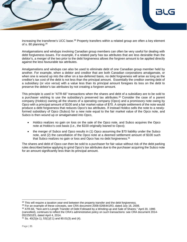

increasing the transferee's UCC base.<sup>28</sup> Property transfers within a related group are often a key element of s. 80 planning.<sup>29</sup>

Amalgamations and windups involving Canadian group members can often be very useful for dealing with debt forgiveness issues. For example, if a related party has tax attributes that are less desirable than the debtor's, a merger of the two prior to the debt forgiveness allows the forgiven amount to be applied directly against the less favourable tax attributes.

Amalgamations and windups can also be used to eliminate debt of one Canadian group member held by another. For example, when a debtor and creditor that are both Canadian corporations amalgamate, or when one is wound up into the other on a tax-deferred basis, no debt forgiveness will arise as long as the creditor's tax cost of the debt is not less than the principal amount. Essentially the creditor owning debt of a subsidiary (or *vice versa*) with a value less than its principal amount foregoes its loss on the debt to preserve the debtor's tax attributes by not creating a forgiven amount.

This principle is used in "ATR-66" transactions when the shares and debt of a subsidiary are to be sold to a purchaser wishing to use the subsidiary's preserved tax attributes.<sup>30</sup> Consider the case of a parent company (Holdco) owning all the shares of a operating company (Opco) and a promissory note owing by Opco with a principal amount of \$100 and a fair market value of \$70. A simple settlement of the note would produce a debt forgiveness that reduces Opco's tax attributes. If instead Holdco sells the note to a newlyformed subsidiary of Opco (Subco) for a new note equal to the fair market value of the Opco note, and Subco is then wound up or amalgamated into Opco,

- Holdco realizes no gain on loss on the sale of the Opco note, and Subco acquires the Opco note at Holdco's cost basis (*i.e*., the \$100 originally loaned to Opco);
- the merger of Subco and Opco results in (1) Opco assuming the \$70 liability under the Subco note, and (2) the cancellation of the Opco note at a deemed settlement amount of \$100 such that Subco realizes no gain or loss and Opco has no debt forgiveness.<sup>31</sup>

The shares and debt of Opco can then be sold to a purchaser for fair value without risk of the debt parking rules described below applying to grind Opco's tax attributes due to the purchaser acquiring the Subco note for an amount significantly less than its principal amount.

l  $28$  This will require a taxation year-end between the property transfer and the debt forgiveness.

 $29$  For an example of these concepts, see CRA document 2008-0266441R3, dated July 16, 2008.

<sup>30</sup> ATR-66, "Non-arm's-Length Transfer of Debt Followed by a Winding-up and Sale of Shares," April 20, 1995 (cancelled), continues to reflect the CRA's administrative policy on such transactions: see CRA document 2014- 0522501E5, dated April 4, 2014.

 $31$  Ss. 40(2)(e.1), 53(1)(f.1) and 80.01(3) and (4).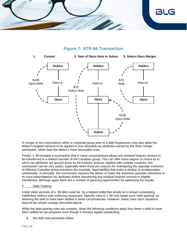

### **Figure 7: ATR-66 Transaction**



A merger of two corporations within a corporate group prior to a debt forgiveness may also allow the debtor's forgiven amount to be applied to less desirable tax attributes owned by the other merger participant, rather than the debtor's more favourable ones.

Finally, s. 80 includes a mechanism that in some circumstances allows any residual forgiven amount to be transferred to a related member of the Canadian group. This can offer some degree of choice as to which tax attributes are ground down by the forgiven amount. Applied with suitable creativity, this mechanism can be very useful, especially when there are reasons for maintaining the separate existence of different Canadian group members (for example, legal liability) that make a windup or amalgamation undesirable. In principle, this mechanism requires the debtor to make the maximum possible reductions in its most advantageous tax attributes before transferring any residual forgiven amount to eligible transferees, although again there are a number of planning opportunities for optimizing the results.

### F. Debt 'Parking'

Under older versions of s. 80 debt could be by a related entity that simply let it remain outstanding indefinitely without ever enforcing repayment. Specific rules in s. 80 now target such "debt parking" by deeming the debt to have been settled in some circumstances. However, these rules catch situations beyond the simple strategy described above.

While the debt parking rules are complex, when the following conditions apply they deem a debt to have been settled for tax purposes even though it remains legally outstanding:

the debt was previously either: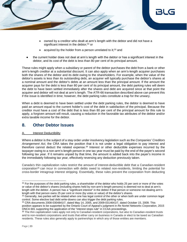

- owned by a creditor who dealt at arm's length with the debtor and did not have a significant interest in the debtor:<sup>32</sup> or
- acquired by the holder from a person unrelated to it;<sup>33</sup> and
- the current holder does not deal at arm's length with the debtor or has a significant interest in the debtor, and its cost of the debt is less than 80 per cent of its principal amount.

These rules might apply when a subsidiary or parent of the debtor purchases the debt from a bank or other arm's-length creditor at a substantial discount. It can also apply when an arm's-length acquirer purchases both the shares of the debtor and its debt owing to the shareholders. For example, when the value of the debtor's assets is less than its outstanding debt, an acquirer will typically purchase the debtor's shares at a nominal amount and the debtor's debts at an amount less than the principal amount. If the amount the acquirer pays for the debt is less than 80 per cent of its principal amount, the debt parking rules will deem the debt to have been settled immediately after the shares and debt are acquired since at that point the acquirer and debtor will not deal at arm's length. The ATR-66 transaction described above can prevent this if the issue is identified in time; however, the debt parking rules constitute a trap for the unwary.

When a debt is deemed to have been settled under the debt parking rules, the debtor is deemed to have paid an amount equal to the current holder's cost of the debt in satisfaction of the principal. Because the creditor must have a cost of the debt that is less than 80 per cent of the principal amount for this rule to apply, a forgiven amount will result, causing a reduction in the favorable tax attributes of the debtor and/or extra taxable income for the debtor.

### <span id="page-22-0"></span>**8. Other Debtor Issues**

### A. Interest Deductibility

Where a debtor is the subject of a stay order under insolvency legislation such as the *Companies' Creditors Arrangement Act*, the CRA takes the position that it is not under a legal obligation to pay interest and therefore cannot deduct the related expense.<sup>34</sup> Interest or other deductible expenses incurred by the taxpayer owing to a non-arm's-length person in one tax year must be paid by the end of the payer's second following tax year. If it remains unpaid by that time, the amount is added back into the payer's income in the immediately following tax year, effectively reversing any deduction previously taken.

Canada's thin capitalization rules restrict the amount of interest-deductible debt that a Canadian-resident corporation<sup>35</sup> can incur in connection with debts owed to related non-residents, limiting the potential for cross-border intragroup interest stripping. Essentially, these rules prevent the corporation from deducting

<sup>34</sup> CRA documents 2008-0304841I7, dated May 14, 2005, and 2009-0314641I7, dated October 15, 2009. This position appears to be supported by the Ontario Court of Appeal's judgment in *Re Nortel Networks Corporation*, 2015 ONCA 681 supporting the application of the "interest stops rule" in CCAA proceedings.

 $32$  For the purposes of the debt parking rules, a shareholder of the debtor who holds 25 per cent or more of the votes or value of the debtor's shares (including shares held by non-arm's-length persons) is deemed not to deal at arm's length with the debtor. A person has a "significant interest" in the debtor if that person or someone not dealing arm's length with that person owns 25 per cent or more (by votes or value) of the debtor's shares.

<sup>33</sup> Generally, two parties will be related when one has legal control of the other or when both are under common legal control. Some elective bad debt write-downs can also trigger the debt parking rules.

<sup>&</sup>lt;sup>35</sup> The thin capitalization rules apply not only to Canadian-resident corporations, but also to Canadian-resident trusts and to non-resident corporations and trusts that either carry on business in Canada or elect to be taxed as Canadian residents. These rules also generally apply to partnerships in which any of those entities are members.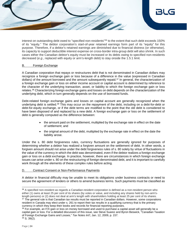

interest on outstanding debt owed to "specified non-residents"<sup>36</sup> to the extent that such debt exceeds 150% of its "equity." The debtor corporation's start-of-year retained earnings form part of its "equity" for this purpose. Therefore, if a debtor's retained earnings are diminished due to financial distress (or otherwise), its capacity to support deductible interest expense on cross-border intra-group debt will also shrink. In such cases either the Canadian debtor's equity must be increased or its debts owing to specified non-residents decreased (*e.g*., replaced with equity or arm's-length debt) to stay onside the 1.5:1 limit.

### B. Foreign Exchange

A Canadian corporation that repays or restructures debt that is not denominated in Canadian dollars may recognize a foreign exchange gain or loss because of a difference in the value (expressed in Canadian dollars) of the amount borrowed and the amount subsequently repaid.<sup>37</sup> In general, the characterization of a foreign exchange gain or loss on either income account or capital account is determined by reference to the character of the underlying transaction, asset, or liability to which the foreign exchange gain or loss relates.<sup>38</sup> Characterizing foreign exchange gains and losses on debt depends on the characterization of the underlying debt, which in turn generally depends on the use of borrowed funds.

Debt-related foreign exchange gains and losses on capital account are generally recognized when the underlying debt is settled.<sup>39</sup> This may occur on the repayment of the debt, including on a debt-for-debt or debt-for-equity exchange, or if the debt terms are modified to the point that the old debt is considered to have been disposed of and replaced by a new debt. A foreign exchange gain or loss on the settlement of debt is generally computed as the difference between:

- the amount paid on the settlement, multiplied by the exchange rate in effect on the date of settlement; and
- the original amount of the debt, multiplied by the exchange rate in effect on the date the liability arose.

Under the s. 80 debt forgiveness rules, currency fluctuations are generally ignored for purposes of determining whether a debtor has realized a forgiven amount on the settlement of debt. In other words, a forgiven amount should not arise under the debt forgiveness rules of s. 80 solely by virtue of fluctuations in the value of the currency in which the debt was denominated, even if the debtor realizes a foreign exchange gain or loss on a debt exchange. In practice, however, there are circumstances in which foreign exchange issues can arise under s. 80 on the restructuring of foreign-denominated debt, and it is important to carefully work through all the elements of these complex rules before acting.

### D. Contract Consent or Non-Performance Payments

A debtor in financial difficulty may be unable to meet its obligations under business contracts or need to secure the agreement of lenders or others to amend business terms. Such payments must be classified as

l 36 A specified non-resident as regards a Canadian-resident corporation is defined as a non-resident person who either (1) owns at least 25 per cent of its shares (by votes or value, and including any shares held by non-arm'slength persons) or (2) does not deal at arm's length with shareholders holding at least 25 per cent of its shares. <sup>37</sup> The general rule is that Canadian tax results must be reported in Canadian dollars. However, some corporations resident in Canada may elect under s. 261 to report their tax results in a qualifying currency that is the primary currency in which they keep their books and records for financial reporting purposes.

<sup>&</sup>lt;sup>38</sup> For example, an F/X gain or loss on money borrowed and used to purchase a capital asset will generally be a capital gain or loss. For a detailed discussion of this issue, see Steve Suarez and Byron Beswick, "Canadian Taxation of Foreign Exchange Gains and Losses," *Tax Notes Int'l*, Jan. 12, 2009, p. 157. 39 S. 39(2).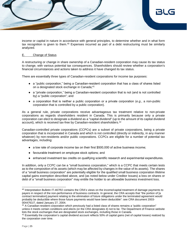

income or capital in nature in accordance with general principles, to determine whether and in what form tax recognition is given to them.<sup>40</sup> Expenses incurred as part of a debt restructuring must be similarly analyzed.

### E. Change of Status

A restructuring or change in share ownership of a Canadian-resident corporation may cause its tax status to change, with various potential tax consequences. Shareholders should review whether a corporation's financial circumstances and actions taken to address it have changed its tax status.

There are essentially three types of Canadian-resident corporations for income tax purposes:

- a "public corporation," being a Canadian-resident corporation that has a class of shares listed on a designated stock exchange in Canada;<sup>41</sup>
- a "private corporation," being a Canadian-resident corporation that is not (and is not controlled by) a "public corporation"; and
- a corporation that is neither a public corporation or a private corporation (*e.g*., a non-public corporation that is controlled by a public corporation).

As a general rule, private corporations receive advantageous tax treatment relative to non-private corporations as regards shareholders resident in Canada. This is primarily because only a private corporation can elect to designate a dividend as a "capital dividend" (up to the amount of its capital dividend account), which is received tax-free by Canadian-resident shareholders.<sup>42</sup>

Canadian-controlled private corporations (CCPCs) are a subset of private corporations, being a private corporation that is incorporated in Canada and which is not controlled (directly or indirectly, in any manner whatever) by non-residents and/or public corporations. CCPCs are eligible for a number of potential tax advantages, including:

- a low rate of corporate income tax on their first \$500,000 of active business income;
- favourable treatment on employee stock options; and
- enhanced investment tax credits on qualifying scientific research and experimental expenditures.

In addition, only a CCPC can be a "small business corporation," which is a CCPC that meets certain tests as to the composition of its assets (which may be affected by changes in the value of its assets). The shares of a "small business corporation" are potentially eligible for the qualified small business corporation lifetime capital gains exemption described above, and (as noted below under Creditor Issues) a loss on shares or debt of a "small business corporation" may entitle the holder to an allowable business investment loss.

<sup>40</sup> Interpretation Bulletin IT-467R2 contains the CRA's views on the income/capital treatment of damage payments to payers in respect of the non-performance of business contracts. In general, the CRA accepts that "the portion of [a contract termination] payment relating to the elimination of future obligations under the terminated agreement would probably be deductible where those future payments would have been deductible": see CRA document 2003- 0044761I7, dated January 27, 2004.

<sup>41</sup> A Canadian-resident corporation which previously had a listed class of shares remains a "public corporation" unless it meets certain conditions and elects (or the CRA designates it) not to be. The Department of Finance website lists the stock exchanges that are designated stock exchanges, including those in Canada.

 $42$  Essentially the corporation's capital dividend account reflects 50% of capital gains (net of capital losses) realized by the corporation over time.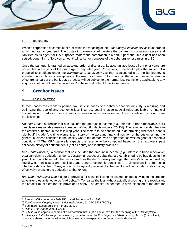

#### F. Bankruptcy

When a corporation becomes bankrupt within the meaning of the *Bankruptcy & Insolvency Act*, it undergoes an immediate tax year-end. The trustee in bankruptcy administers the bankrupt corporation's assets and liabilities as its agent for ITA purposes. Where the corporation is a bankrupt at the time a debt has been settled, generally no "forgiven amount" will arise for purposes of the debt forgiveness rules in s. 80.

Once the bankrupt is granted an absolute order of discharge, its accumulated losses from prior years are not usable in the year of the discharge or any later year. Conversely, if the bankrupt is the subject of a proposal to creditors under the *Bankruptcy & Insolvency Act* that is accepted (*i.e*., the bankruptcy is annulled), no such restriction applies on the use of its losses.<sup>43</sup> A corporation that undergoes an acquisition of control as part of the bankruptcy process will be subject to the normal loss restrictions applicable to any acquisition of control (see below under Purchase and Sale of Loss Companies).

### <span id="page-25-0"></span>**9. Creditor Issues**

### Loss Realization

In most cases the creditor's primary tax issue in cases of a debtor's financial difficulty is realizing and optimizing the use of any economic loss incurred. Leaving aside special rules applicable to financial institutions and creditors whose ordinary business includes moneylending, the most relevant provisions are the following:

*Doubtful Debts*: a creditor that has included the amount in income (*e.g*., interest, a trade receivable, etc.) can claim a reasonable reserve in respect of doubtful debts under s. 20(1)(l). The reserve is added back to the creditor's income in the following year. The factors to be considered in determining whether a debt is "doubtful" include "the time element, a history of the account, financial position of the customer and the general business condition in the locality where the debtor lives or operates, as well as general economic conditions."<sup>44</sup> The CRA generally expects the reserve to be computed based on the taxpayer's past collection history of doubtful debts (not all debts) and industry practice.<sup>45</sup>

*Bad Debts (Income)*: a creditor that has included the amount in income (*e.g*., interest, a trade receivable, etc.) can claim a deduction under s. 20(1)(p) in respect of debts that are established to be bad debts in the year. The courts have held that factors such as the debt's history and age, the debtor's financial position, liquidity, current assets and liabilities, and general economic conditions are all relevant in determining whether a debt is "bad."<sup>46</sup> Any amount subsequently received by the creditor will be included in its income, effectively reversing the deduction to that extent.

*Bad Debts (Shares & Debt)*: s. 50(1) provides for a capital loss to be claimed on debts owing to the creditor at year-end established to be "bad debts."<sup>47</sup> To realize the loss without actually disposing of the receivable, the creditor must elect for this provision to apply. The creditor is deemed to have disposed of the debt for

<sup>43</sup> See also CRA document 9924355, dated September 23, 1999.

<sup>44</sup> *The Queen v. Coppley Noyes & Randall Limited*, 93 DTC 5508 (FCTD).

<sup>45</sup> See Interpretation Bulletin IT-442R, para. 24.

<sup>46</sup> *Rich v. The Queen*, 2003 FCA 38.

<sup>47</sup> S. 50(1) also applies to shares of a corporation that is (1) a bankrupt within the meaning of the *Bankruptcy & Insolvency Act*, (2) the subject of a winding up order under the *Winding-up and Restructuring Act*, or (3) insolvent, where the shares have no value and it is reasonable to expect the corporation to be dissolved.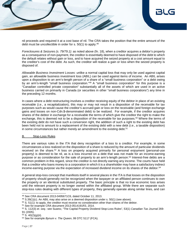nil proceeds and required it at a cost base of nil. The CRA takes the position that the entire amount of the debt must be uncollectible in order for s. 50(1) to apply.<sup>48</sup>

*Foreclosures & Seizures (s. 79/79.1)*: as noted above (fn. 18), when a creditor acquires a debtor's property as a consequence of non-payment, the creditor is essentially deemed to have disposed of the debt to which the default relates without gain or loss, and to have acquired the seized property at a cost amount equal to the creditor's cost of the debt. As such, the creditor will realize a gain or loss when the seized property is disposed of.

*Allowable Business Investment Losses*: unlike a normal capital loss that may only be used against capital gain, an allowable business investment loss (ABIL) can be used against items of income. An ABIL arises upon a disposition to an arm's-length person of a share of a "small business corporation" or a debt owing by an arm's-length "small business corporation."<sup>49</sup> A "small business corporation" for this purpose is a "Canadian controlled private corporation" substantially all of the assets of which are used in an active business carried on primarily in Canada (or securities in other "small business corporations") any time in the preceding 12 months.

In cases where a debt restructuring involves a creditor receiving equity of the debtor in place of an existing receivable (*i.e*., a recapitalization), this may or may not result in a disposition of the receivable for tax purposes such as would cause the creditor's accrued gain or loss on the receivable (and foreign exchange gains and losses on non-Cdn.\$-denominated debt) to be realized. For example, if the creditor acquires shares of the debtor in exchange for a receivable the terms of which give the creditor the right to make the exchange, this is deemed not to be a disposition of the receivable for tax purposes.<sup>50</sup> Where the terms of the existing debt do not have such a conversion right, the addition of such a right to the existing debt has been held not to amount to a replacement of the existing debt with a new debt (*i.e*., a taxable disposition) in some circumstances but rather merely an amendment to the existing debt.<sup>51</sup>

### B. Stop-Loss Rules

There are various rules in the ITA that deny recognition of a loss to a creditor. For example, in some circumstances a loss realized on the disposition of a share is reduced by the amount of particular dividends received on the share.<sup>52</sup> A loss on property acquired primarily for personal enjoyment (personal-use property) is deemed to be nil, as is a loss incurred on a debt that was not made for an income-earning purpose or as consideration for the sale of property to an arm's-length person.<sup>53</sup> Interest-free debts are a common problem in this regard, since the creditor is not directly earning any income. The courts have held that a creditor who loans money to a corporation in which it is a shareholder may have a satisfactory indirect income-earning purpose via the expectation of increased dividend income on its shares of the debtor.<sup>54</sup>

A general stop-loss concept that manifests itself in several places in the ITA is that losses on the disposition of property should generally not be recognized when the taxpayer or an affiliated person continues to own the property or an identical substituted property. The basic principle is that no true economic loss arises until the relevant property is no longer owned within the affiliated group. While there are separate such stop-loss rules dealing with different types of property, they generally operate along similar lines, and can

<sup>48</sup> See CRA document 2013-0495671C6, dated October 11, 2013.

 $49$  S.39(1)(c). An ABIL may also arise on a deemed disposition under s. 50(1) (see above).

 $50$  S. 51(1): to apply, the creditor must receive no consideration other than shares of the debtor.

<sup>51</sup> See for example CRA document 2013-0514191R3, 2014.

<sup>52</sup> S. 112(3) *et. seq.*: see Suarez, "The Capital Property Dividend Stop-Loss Rules", 53(1) *Canadian Tax Journal* 269- 91 (2005).

 $53$  S.  $40(2)(g)(ii)$ .

<sup>54</sup> See for example *Bynum v. The Queen*, 99 DTC 5117 (FCA).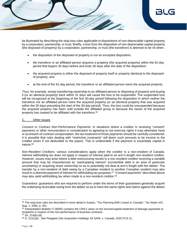

be illustrated by describing the stop-loss rules applicable to dispositions of non-depreciable capital property by a corporation, partnership, or trust. Briefly, a loss from the disposition of non-depreciable capital property (the disposed-of property) by a corporation, partnership, or trust (the transferor) is deemed to be nil when:

- the disposition of the disposed-of property is not an excepted disposition;
- the transferor or an affiliated person acquires a property (the acquired property) within the 61-day period that begins 30 days before and ends 30 days after the date of the disposition;
- the acquired property is either the disposed-of property itself or property identical to the disposedof property; and
- at the end of the 61-day period, the transferor or an affiliated person owns the acquired property.

Thus, for example, simply transferring ownership to an affiliated person or disposing of property and buying it (or an identical property) back within 31 days will cause the loss to be suspended. The suspended loss will be recognized at the beginning of the first 30-day period following the disposition in which neither the transferor nor an affiliated person owns the acquired property (or an identical property that was acquired within the 30 days preceding the start of the 30-day period). Thus, the loss could be unsuspended because the acquired property has been sold outside the affiliated group or because the owner of the acquired property has ceased to be affiliated with the transferor.<sup>55</sup>

### C. Other Issues

*Consent or Contract Non-Performance Payments*: in situations where a creditor is receiving "consent" payments or other remuneration in consideration to agreeing to not exercise rights it may otherwise have or as breach-of-contract compensation, the tax treatment of those payments should be carefully considered. It is possible that rules dealing with "restrictive covenants" will deem such amounts to be income to the creditor (even if not deductible to the payer). This is undesirable if the payment is essentially capital in nature.<sup>56</sup>

*Non-Resident Creditors*: various considerations apply when the creditor is a non-resident of Canada. Interest withholding tax does not apply in respect of interest paid to an arm's-length non-resident creditor. However, issues may arise where a debt restructuring results in a non-resident creditor receiving a variable amount that may be characterized as "participating interest" (convertible debt is an area of particular uncertainty) or acquiring share ownership so as to potentially not deal at arm's length with the debtor. The transfer by a non-resident of debt owing by a Canadian resident to another Canadian resident may also result in a deemed payment of interest for withholding tax purposes.<sup>57</sup> "Consent payments" described above may also yield withholding tax when made to a non-resident creditor.<sup>58</sup>

*Guarantors*: guarantors who are required to perform under the terms of their guarantees generally acquire the underlying receivable owing from the debtor so as to have the same rights and claims against the debtor

<sup>55</sup> The stop-loss rules are described in more detail in Suarez, "Tax Planning With Losses in Canada," *Tax Notes Int'l*, Aug. 1, 2005, p. 451.

<sup>56</sup> Interpretation Bulletin IT-365R2 contains the CRA's views on the income/capital treatment of damage payments to recipients in respect of the non-performance of business contracts.

 $57$  Ss. 214(6)-(8).

<sup>58</sup> S. 212(1)(i). See *Pangaea One Acquisition Holdings XII SARL v. Canada*, 2020 FCA 21.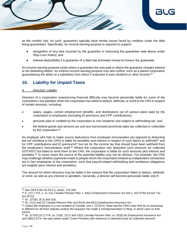

as the creditor had. As such, guarantors typically have similar issues faced by creditors under the debt being guaranteed. Specifically, an income-earning purpose is required to support:

- recognition of any loss incurred by the guarantor in honouring the guarantee (see above under Stop-Loss Rules); and
- interest deductibility if a guarantor of a debt has borrowed money to honour the guarantee.

An income-earning purpose exists where a guarantee fee was paid or where the guarantor charges interest to the defaulting debtor. An indirect income-earning purpose may also suffice, such as a parent corporation guaranteeing the debts of a subsidiary from which it expected to earn dividend or other income.<sup>59</sup>

# <span id="page-28-0"></span>**10. Liability for Unpaid Taxes**

### A. Directors' Liability

Directors of a corporation experiencing financial difficulty may become personally liable for some of the corporation's tax liabilities when the corporation has failed to deduct, withhold, or remit to the CRA in respect of certain amounts, including:

- salary, wages, certain employment benefits, and distributions out of various plans paid by the corporation to employees (including EI premiums and CPP contributions);
- amounts paid or credited by the corporation to non-residents and subject to withholding tax; and
- the federal goods and services tax and any harmonized provincial sales tax collected or collectible by the corporation.<sup>60</sup>

An employer who fails to make source deductions from employee remuneration (as opposed to deducting but not remitting to the CRA) is liable for penalties and interest in respect of such failure to withhold<sup>61</sup> and for CPP contributions and EI premiums<sup>62</sup> but not for the income tax that should have been withheld from the employee's remuneration itself.<sup>63</sup> Where the corporation has deducted such amounts (or collected GST/HST) but failed to remit them to the CRA, the corporation is liable for such amounts plus interest and penalties.<sup>64</sup> In some cases the source of the potential liability may not be obvious. For example, the CRA may challenge whether payments made to people whom the corporation treated as independent contractors are in fact employees of the corporation, such that payroll-related withholding and remittance obligations are exigible (plus interest and penalties).

The amount for which directors may be liable is the amount that the corporation failed to deduct, withhold, or remit, as well as any interest or penalties. Generally, a director will become personally liable only if:

<sup>59</sup> See CRA Folio S3-F6-C1, paras. 176-180.

<sup>60</sup> S. 227.1 ITA, s. 21.1(1) *Canada Pension Plan*, s. 83(1) *Employment Insurance Act* and s. 323 of the *Excise Tax Act* (ETA).

<sup>61</sup> Ss. 227(8), (8.3) and (10).

<sup>62</sup> Ss. 21(1) and 22 *Canada Pension Plan* and 82(4) and 85(1) *Employment Insurance Act*.

 $63$  Unless the employee is a non-resident of Canada: see s. 227(8.4). Note that the CRA's time limit for re-assessing is different for all three statutes (unless the taxpayer has made a misrepresentation in filing, in which case no limit exists).

<sup>64</sup> Ss. 227(9)-(10.1) ITA, ss. 21(6), 21(7) and 23(2) *Canada Pension Plan*, ss. 82(8)-(9) *Employment Insurance Act* and 280(1) ETA: see also below under Crown Priorities with reference to deemed trusts for collected amounts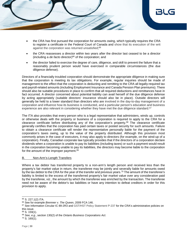

- the CRA has first pursued the corporation for amounts owing, which typically requires the CRA to register a certificate in the Federal Court of Canada and show that its execution of the writ against the corporation was returned unsatisfied; 65
- the CRA reassesses a director within two years after the director last ceased to be a director (including a *de facto* director)<sup>66</sup> of the corporation; and
- the director failed to exercise the degree of care, diligence, and skill to prevent the failure that a reasonably prudent person would have exercised in comparable circumstances (the due diligence defense).

Directors of a financially troubled corporation should demonstrate the appropriate diligence in making sure that the corporation is meeting its tax obligations. For example, regular inquiries should be made of management to the effect that the corporation is deducting and remitting to the CRA all legally-required tax and payroll-related amounts (including Employment Insurance and Canada Pension Plan premiums). There should also be suitable procedures in place to confirm that all required deductions and remittances have in fact occurred. A director concerned about potential liability can avail herself of the due diligence defense by acting appropriately (suitable directors' insurance should also be in place). Outside directors will generally be held to a lower standard than directors who are involved in the day-to-day management of a corporation and influence how its business is conducted, and a particular person's education and business experience are also relevant in considering whether they have met the due diligence standard.<sup>67</sup>

The ITA also provides that every person who is a legal representative that administers, winds up, controls or otherwise deals with the property or business of a corporation is required to apply to the CRA for a clearance certificate before distributing any of the corporation's property.<sup>68</sup> The clearance certificate generally certifies that the corporation has paid certain taxes or posted security for such amounts. Failure to obtain a clearance certificate will render the representative personally liable for the payment of the corporation's taxes owing, up to the value of the property distributed. Although this provision most commonly arises in the case of executors, it may also apply to directors (for example, on the wind-up of a corporation). Finally, Canadian corporate law typically provides that if the directors of a corporation declare dividends when a corporation is unable to pay its liabilities (including taxes) or such a payment would result in the corporation becoming unable to pay its liabilities, the directors may become liable to the corporation for the amount of the improper payment.<sup>69</sup>

B. Non-Arm's-Length Transfers

Where a tax debtor has transferred property to a non-arm's length person and received less than the property's fair market value in return, the transferee may be jointly and severally liable for amounts owed by the tax debtor to the CRA for the year of the transfer and previous years.<sup>70</sup> The amount of the transferee's liability is limited to the excess of the transferred property's fair market value over any consideration paid by the transferee, *viz.*, the amount by which the transferee was enriched by the transaction. The transferee need not be aware of the debtor's tax liabilities or have any intention to defeat creditors in order for this provision to apply.

<sup>65</sup> S. 227.1(2) ITA.

<sup>66</sup> See for example *Bremner v. The Queen*, 2009 FCA 146.

<sup>67</sup> See Information Circular IC 89-2R3 and GST/HST Policy Statement P-237 for the CRA's administrative policies on this issue.

<sup>68</sup> S. 159(1).

<sup>69</sup> *See, e.g.*, section 130(2) of the *Ontario Business Corporations Act*.

 $70$  S. 160(1).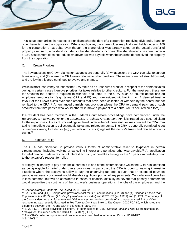

This issue often arises in respect of significant shareholders of a corporation receiving dividends, loans or other benefits from the corporation. Where applicable, the shareholder may find itself liable under s. 160 for the corporation's tax debts even though the shareholder was already taxed on the actual transfer of property itself (*e.g*., a dividend included in the shareholder's income). The shareholder's payment under a s. 160 assessment does not reduce whatever tax was payable when the shareholder received the property from the corporation.<sup>71</sup>

### C. Crown Priorities

The key questions on Crown claims for tax debts are generally (1) what actions the CRA can take to pursue taxes owing, and (2) where the CRA ranks relative to other creditors. These are often not straightforward, and the law in this area continues to evolve and change.

While in most insolvency situations the CRA ranks as an unsecured creditor in respect of the debtor's taxes owing, in certain cases it enjoys priorities for taxes relative to other creditors. For the most part, these are for amounts the debtor is required to withhold and remit to the CRA, such as source deductions on employee remuneration (*e.g*., taxes, CPP and EI) and non-resident withholding tax. A deemed trust in favour of the Crown exists over such amounts that have been collected or withheld by the debtor but not remitted to the CRA.<sup>72</sup> An enhanced garnishment provision allows the CRA to demand payment of such amounts from third parties who would otherwise make a payment to a debtor (or its secured creditors).<sup>73</sup>

If a tax debt has been "certified" in the Federal Court before proceedings have commenced under the *Bankruptcy & Insolvency Act* or the *Companies' Creditors Arrangement Act*, it is treated as a secured claim for these purposes. A stay of proceedings ordered under either of these statutes may prevent the CRA from taking immediate action to collect unpaid taxes and related amounts. The CRA is generally permitted to set off amounts owing to a debtor (*e.g*., refunds and credits) against the debtor's taxes and related amounts owing.<sup>74</sup>

### D. Taxpayer Relief

The CRA has discretion to provide various forms of administrative relief to taxpayers in certain circumstances, including waiving or cancelling interest and penalties otherwise payable.<sup>75</sup> An application for relief can be made in respect of interest accruing or penalties arising for the 10 years immediately prior to the taxpayer's request for relief.

A taxpayer's inability to pay or financial hardship is one of the circumstances which the CRA has identified as being eligible for relief under these provisions. In particular, the CRA is open to waiving interest in situations where the taxpayer's ability to pay the underlying tax debt is such that an extended payment period is necessary or interest would absorb a significant portion of any payments. Cancellation of penalties is less common, but will be considered in cases of financial difficulty so severe that penalty enforcement would jeopardize the continuity of the taxpayer's business operations, the jobs of the employees, and the

l <sup>71</sup> See for example *Parihar v. The Queen*, 2015 TCC 52.

<sup>72</sup> Ss. 227(4) and (4.1). Comparable provisions exist for CPP contributions (s. 23(3) and (4), *Canada Pension Plan*), EI premiums (ss. 86(2) and (2.1) *Employment Insurance Act*) and GST/HST (ss. 222(1) and (3) ETA. The priority of the Crown's deemed trust for unremitted GST over secured lenders outside of a court-supervised BIA or CCAA restructuring was recently illustrated in *The Toronto-Dominion Bank v. The Queen*, 2020 FCA 80, which noted the difference between the ITA and ETA in this regard (para. 44).

<sup>73</sup> S. 224(1.2). Similar provisions exist for CPP contributions (s. 23(2) *Canada Pension Plan*), EI premiums (s. 99 *Employment Insurance Act*) and GST/HST (s. 317(3) ETA).

<sup>&</sup>lt;sup>74</sup> The CRA's collections policies and procedures are described in Information Circular IC 98-1R7. 75 S. 220(3.1).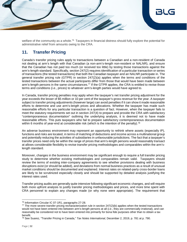

welfare of the community as a whole.<sup>76</sup> Taxpayers in financial distress should fully explore the potential for administrative relief from amounts owing to the CRA.

# <span id="page-31-0"></span>**11. Transfer Pricing**

Canada's transfer pricing rules apply to transactions between a Canadian and a non-resident of Canada not dealing at arm's length with that Canadian (a non-arm's-length non-resident or NALNR), and ensure that the Canadian has not paid too much (or received too little) by testing those transactions against the arm's-length standard. Specifically, section 247(2) requires identification of a particular transaction or series of transactions (the tested transactions) that both the Canadian taxpayer and an NALNR participate in. The general transfer pricing rule (GTPR) in section 247(2)(a) applies when the terms and conditions of the tested transactions between the actual participants differ from those that would have been made between arm's-length persons in the same circumstances.<sup>77</sup> If the GTPR applies, the CRA is entitled to revise those terms and conditions (*i.e*., prices) to whatever arm's-length parties would have agreed to.

In Canada, transfer pricing penalties may apply when the taxpayer's net transfer pricing adjustment for the year exceeds the lesser of \$5 million or 10 per cent of the taxpayer's gross revenue for the year. A taxpayer subject to transfer pricing adjustments (however large) can avoid penalties if it can show it made reasonable efforts to determine and use arm's-length prices and allocations. Whether the taxpayer has made such reasonable efforts for any particular transaction is a question of fact. However, when the taxpayer fails to meet the statutory requirements set out in section 247(4) to prepare and provide the CRA with satisfactory "contemporaneous documentation" outlining the underlying analysis, it is deemed not to have made reasonable efforts. This puts taxpayers who fail to prepare satisfactory contemporaneous documentation within 6 months of year-end at considerable risk (which is the intention of the penalty).<sup>78</sup>

An adverse business environment may represent an opportunity to rethink where assets (especially IP), functions and risks are located, in terms of matching of deductions and income across a multinational group and potentially reducing the activities of subsidiaries in unfavourable jurisdictions. The fact that a taxpayer's transfer prices need only be within the range of prices that arm's-length persons would reasonably transact at allows considerable flexibility to revise transfer pricing methodologies and comparables within the arm'slength standard.

Moreover, changes in the business environment may be significant enough to require a full transfer pricing study to determine whether existing methodologies and comparables remain valid. Taxpayers should review the terms of existing inter-company agreements to see whether provisions dealing with business disruptions exist (or should be added), and deviations from normal business practices as a result of unusual market conditions should be documented and explained. Interest rates on related-party cross-border loans are likely to be scrutinized especially closely and should be supported by detailed analysis justifying the interest rates used.

Transfer pricing audits are generally quite intensive following significant economic changes, and will require both more upfront analysis to justify transfer pricing methodologies and prices, and more time spent with CRA personnel to explain any changes made (or why none were appropriate). The requirement that

l <sup>76</sup> Information Circular IC 07-1R1, paragraphs 27-28.

 $77$  The more severe transfer pricing recharacterization rule in section 247(2)(b) applies when the tested transactions would not have been entered into between arm's-length persons at all *(i.e.*, they are commercially irrational), and can reasonably be considered not to have been entered into primarily for bona fide purposes other than to obtain a tax benefit.

<sup>78</sup> See Suarez, "Transfer Pricing in Canada," *Tax Notes International*, December 2, 2019, p. 781 at p. 790.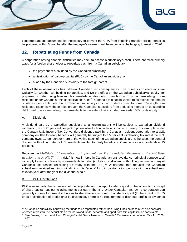

contemporaneous documentation necessary to prevent the CRA from imposing transfer pricing penalties be prepared within 6 months after the taxpayer's year-end will be especially challenging to meet in 2020.

# <span id="page-32-0"></span>**12. Repatriating Funds from Canada**

A corporation having financial difficulties may seek to access a subsidiary's cash. There are three primary ways for a foreign shareholder to repatriate cash from a Canadian subsidiary:

- the payment of a dividend by the Canadian subsidiary;
- a distribution of paid-up capital (PUC) by the Canadian subsidiary; or
- a loan by the Canadian subsidiary to the foreign parent.

Each of these alternatives has different Canadian tax consequences. The primary considerations are typically (1) whether withholding tax applies, and (2) the effect on the Canadian subsidiary's "equity" for purposes of determining how much interest-deductible debt it can borrow from non-arm's-length nonresidents under Canada's "thin capitalization" rules.<sup>79</sup> Canada's thin capitalization rules restrict the amount of interest-deductible debt that a Canadian subsidiary can incur on debts owed to non-arm's-length nonresidents. Essentially, these rules prevent the Canadian subsidiary from deducting interest on outstanding debt owed to non-arm's-length non-residents to the extent that such debt exceeds 150% of its equity.

### **Dividends**

A dividend paid by a Canadian subsidiary to a foreign parent will be subject to Canadian dividend withholding tax of 25 per cent, subject to potential reduction under an income tax treaty. For example, under the Canada-U.S. Income Tax Convention, dividends paid by a Canadian resident corporation to a U.S. company entitled to treaty benefits will generally be subject to a 5 per cent withholding tax rate if the U.S. company owns 10 per cent or more of the voting stock of the Canadian subsidiary. Otherwise, the general dividend withholding rate for U.S. residents entitled to treaty benefits on Canadian-source dividends is 15 per cent.

Because the *Multilateral Convention to Implement Tax Treaty Related Measures to Prevent Base Erosion and Profit Shifting* (MLI) is now in force in Canada, an anti-avoidance "principal purpose test" will apply to restrict claims by non-residents for relief (including on dividend withholding tax) under many of Canada's tax treaties (excluding its treaty with the U.S.).<sup>80</sup> A dividend that reduces the Canadian subsidiary's retained earnings will diminish its "equity" for thin capitalization purposes in the subsidiary's taxation year after the year the dividend is paid.

### B. PUC Distributions

PUC is essentially the tax version of the corporate law concept of stated capital or the accounting concept of share capital, subject to adjustments set out in the ITA. Under Canadian tax law, a corporation can generally choose to make distributions to shareholders as a return of share capital (to the extent of PUC) or as a distribution of profits (that is, dividends). There is no requirement to distribute profits as dividends

 $79$  A Canadian subsidiary borrowing the funds to be repatriated rather than using funds on hand must also consider whether interest will be deductible on the borrowed funds, separate and apart from thin capitalization constraints. <sup>80</sup> See Suarez, "How the MLI Will Change Capital Gains Taxation in Canada," *Tax Notes International*, May 11, 2020, p. 657.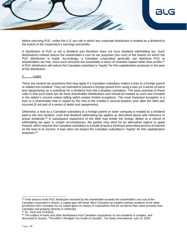

before returning PUC, unlike the U.S. tax rule in which any corporate distribution is treated as a dividend to the extent of the corporation's earnings and profits.

A distribution of PUC is not a dividend and therefore does not incur dividend withholding tax. Such distributions instead reduce the shareholder's cost for tax purposes (tax cost) of the shares on which the PUC distribution is made. Accordingly, a Canadian corporation generally can distribute PUC to shareholders tax free, since such amounts are essentially a return of invested capital rather than profits.<sup>81</sup> A PUC distribution will reduce the Canadian subsidiary's "equity" for thin capitalization purposes in the year of the distribution.

#### C. Loans

There are several tax provisions that may apply if a Canadian subsidiary makes a loan to a foreign parent or related non-resident. They are intended to prevent a foreign parent from using a loan (or a series of loans and repayments) as a substitute for a dividend from the Canadian subsidiary. The basic premise of these rules is that such loans are *de facto* shareholder distributions and should be treated as such and included in the debtor's income unless falling within certain limited exceptions. The most important exception is a loan to a shareholder that is repaid by the end of the creditor's second taxation year after the debt was incurred (if not part of a series of debts and repayments).

Otherwise, a loan by a Canadian subsidiary to a foreign parent or sister company is treated as a dividend paid to the non-resident, such that dividend withholding tax applies as described above with reference to actual dividends.<sup>82</sup> A subsequent repayment of the debt may entitle the foreign debtor to a refund of withholding tax paid. In certain circumstances, the parties may elect for an alternative regime to apply instead, which requires the Canadian subsidiary to include at least a minimum prescribed amount of interest on the loan in its income. A loan does not impact the Canadian subsidiary's "equity" for thin capitalization purposes.<sup>83</sup>

<sup>&</sup>lt;sup>81</sup> If the amount of the PUC distribution received by the shareholder exceeds the shareholder's tax cost of the Canadian corporation's shares, a capital gain will result. Most Canadian tax treaties exempt residents of the other jurisdiction from Canadian tax on capital gains on shares of corporations that do not derive their value primarily from Canadian real property (directly or indirectly).

 $82$  Ss. 15(2) and 214(3)(a).

<sup>83</sup> The subject of loans and other distributions from Canadian corporations to non-residents is complex, and discussed in Suarez, "The MNE's Abridged Tax Guide to Canada", *Tax Notes International*, July 13, 2020.